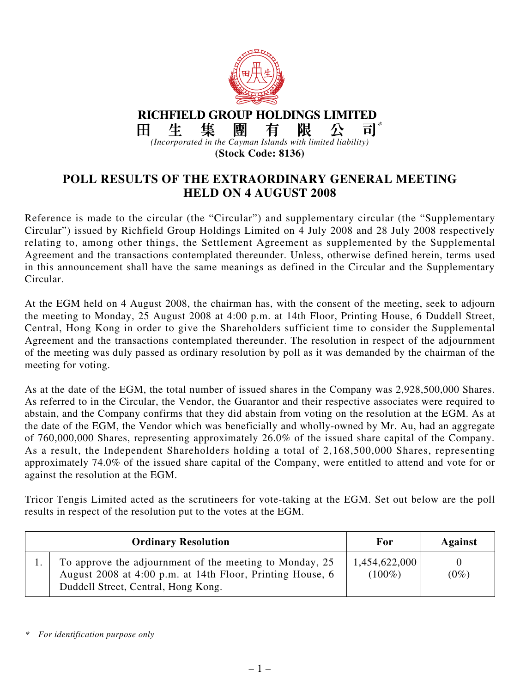

**RICHFIELD GROUP HOLDINGS LIMITED** 集 團 \*生 有 阽 Ħ 비 *(Incorporated in the Cayman Islands with limited liability)* **(Stock Code: 8136)**

**POLL RESULTS OF THE EXTRAORDINARY GENERAL MEETING HELD ON 4 AUGUST 2008**

Reference is made to the circular (the "Circular") and supplementary circular (the "Supplementary Circular") issued by Richfield Group Holdings Limited on 4 July 2008 and 28 July 2008 respectively relating to, among other things, the Settlement Agreement as supplemented by the Supplemental Agreement and the transactions contemplated thereunder. Unless, otherwise defined herein, terms used in this announcement shall have the same meanings as defined in the Circular and the Supplementary Circular.

At the EGM held on 4 August 2008, the chairman has, with the consent of the meeting, seek to adjourn the meeting to Monday, 25 August 2008 at 4:00 p.m. at 14th Floor, Printing House, 6 Duddell Street, Central, Hong Kong in order to give the Shareholders sufficient time to consider the Supplemental Agreement and the transactions contemplated thereunder. The resolution in respect of the adjournment of the meeting was duly passed as ordinary resolution by poll as it was demanded by the chairman of the meeting for voting.

As at the date of the EGM, the total number of issued shares in the Company was 2,928,500,000 Shares. As referred to in the Circular, the Vendor, the Guarantor and their respective associates were required to abstain, and the Company confirms that they did abstain from voting on the resolution at the EGM. As at the date of the EGM, the Vendor which was beneficially and wholly-owned by Mr. Au, had an aggregate of 760,000,000 Shares, representing approximately 26.0% of the issued share capital of the Company. As a result, the Independent Shareholders holding a total of 2,168,500,000 Shares, representing approximately 74.0% of the issued share capital of the Company, were entitled to attend and vote for or against the resolution at the EGM.

Tricor Tengis Limited acted as the scrutineers for vote-taking at the EGM. Set out below are the poll results in respect of the resolution put to the votes at the EGM.

| <b>Ordinary Resolution</b> |                                                                                                                                                             | For                        | <b>Against</b> |
|----------------------------|-------------------------------------------------------------------------------------------------------------------------------------------------------------|----------------------------|----------------|
|                            | To approve the adjournment of the meeting to Monday, 25<br>August 2008 at 4:00 p.m. at 14th Floor, Printing House, 6<br>Duddell Street, Central, Hong Kong. | 1,454,622,000<br>$(100\%)$ | $(0\%)$        |

*<sup>\*</sup>For identification purpose only*